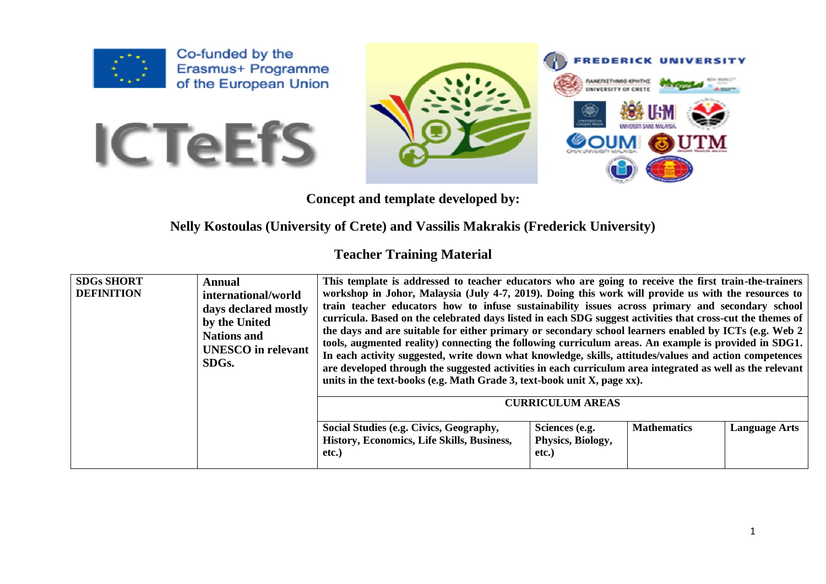

Co-funded by the Erasmus+ Programme of the European Union





**Concept and template developed by:** 

## **Nelly Kostoulas (University of Crete) and Vassilis Makrakis (Frederick University)**

## **Teacher Training Material**

| <b>SDGs SHORT</b><br><b>DEFINITION</b> | Annual<br>international/world<br>days declared mostly<br>by the United<br><b>Nations and</b><br><b>UNESCO</b> in relevant<br>SDG <sub>s</sub> . | This template is addressed to teacher educators who are going to receive the first train-the-trainers<br>workshop in Johor, Malaysia (July 4-7, 2019). Doing this work will provide us with the resources to<br>train teacher educators how to infuse sustainability issues across primary and secondary school<br>curricula. Based on the celebrated days listed in each SDG suggest activities that cross-cut the themes of<br>the days and are suitable for either primary or secondary school learners enabled by ICTs (e.g. Web 2)<br>tools, augmented reality) connecting the following curriculum areas. An example is provided in SDG1.<br>In each activity suggested, write down what knowledge, skills, attitudes/values and action competences<br>are developed through the suggested activities in each curriculum area integrated as well as the relevant<br>units in the text-books (e.g. Math Grade 3, text-book unit X, page xx). |                                              |                    |                      |
|----------------------------------------|-------------------------------------------------------------------------------------------------------------------------------------------------|---------------------------------------------------------------------------------------------------------------------------------------------------------------------------------------------------------------------------------------------------------------------------------------------------------------------------------------------------------------------------------------------------------------------------------------------------------------------------------------------------------------------------------------------------------------------------------------------------------------------------------------------------------------------------------------------------------------------------------------------------------------------------------------------------------------------------------------------------------------------------------------------------------------------------------------------------|----------------------------------------------|--------------------|----------------------|
|                                        |                                                                                                                                                 |                                                                                                                                                                                                                                                                                                                                                                                                                                                                                                                                                                                                                                                                                                                                                                                                                                                                                                                                                   | <b>CURRICULUM AREAS</b>                      |                    |                      |
|                                        |                                                                                                                                                 | Social Studies (e.g. Civics, Geography,<br>History, Economics, Life Skills, Business,<br>etc.)                                                                                                                                                                                                                                                                                                                                                                                                                                                                                                                                                                                                                                                                                                                                                                                                                                                    | Sciences (e.g.<br>Physics, Biology,<br>etc.) | <b>Mathematics</b> | <b>Language Arts</b> |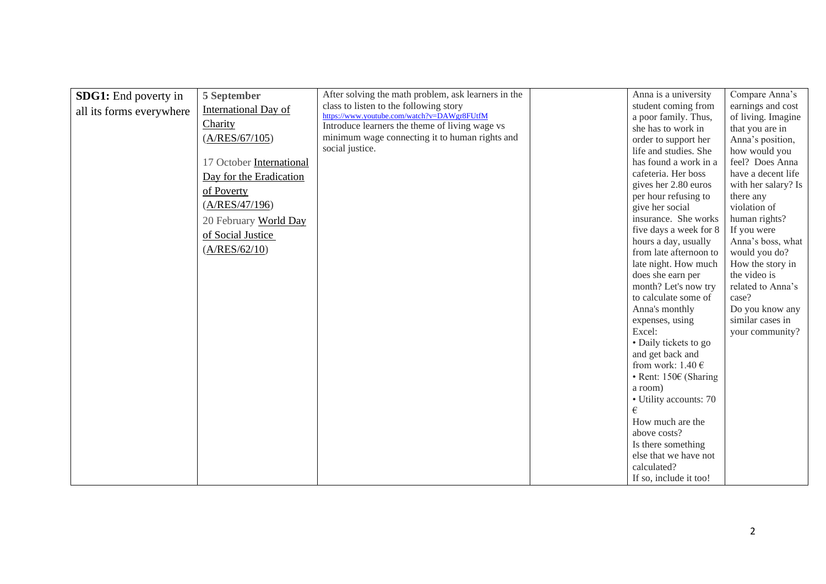| <b>SDG1:</b> End poverty in | 5 September              | After solving the math problem, ask learners in the | Anna is a university                    | Compare Anna's      |
|-----------------------------|--------------------------|-----------------------------------------------------|-----------------------------------------|---------------------|
| all its forms everywhere    | International Day of     | class to listen to the following story              | student coming from                     | earnings and cost   |
|                             | Charity                  | https://www.youtube.com/watch?v=DAWgr8FUtfM         | a poor family. Thus,                    | of living. Imagine  |
|                             |                          | Introduce learners the theme of living wage vs      | she has to work in                      | that you are in     |
|                             | (A/RES/67/105)           | minimum wage connecting it to human rights and      | order to support her                    | Anna's position,    |
|                             |                          | social justice.                                     | life and studies. She                   | how would you       |
|                             | 17 October International |                                                     | has found a work in a                   | feel? Does Anna     |
|                             | Day for the Eradication  |                                                     | cafeteria. Her boss                     | have a decent life  |
|                             | of Poverty               |                                                     | gives her 2.80 euros                    | with her salary? Is |
|                             | (A/RES/47/196)           |                                                     | per hour refusing to                    | there any           |
|                             |                          |                                                     | give her social                         | violation of        |
|                             | 20 February World Day    |                                                     | insurance. She works                    | human rights?       |
|                             | of Social Justice        |                                                     | five days a week for 8                  | If you were         |
|                             | (A/RES/62/10)            |                                                     | hours a day, usually                    | Anna's boss, what   |
|                             |                          |                                                     | from late afternoon to                  | would you do?       |
|                             |                          |                                                     | late night. How much                    | How the story in    |
|                             |                          |                                                     | does she earn per                       | the video is        |
|                             |                          |                                                     | month? Let's now try                    | related to Anna's   |
|                             |                          |                                                     | to calculate some of                    | case?               |
|                             |                          |                                                     | Anna's monthly                          | Do you know any     |
|                             |                          |                                                     | expenses, using                         | similar cases in    |
|                             |                          |                                                     | Excel:                                  | your community?     |
|                             |                          |                                                     | • Daily tickets to go                   |                     |
|                             |                          |                                                     | and get back and                        |                     |
|                             |                          |                                                     | from work: $1.40 \text{ } \in$          |                     |
|                             |                          |                                                     | $\bullet$ Rent: 150 $\epsilon$ (Sharing |                     |
|                             |                          |                                                     | a room)                                 |                     |
|                             |                          |                                                     | • Utility accounts: 70<br>€             |                     |
|                             |                          |                                                     |                                         |                     |
|                             |                          |                                                     | How much are the<br>above costs?        |                     |
|                             |                          |                                                     | Is there something                      |                     |
|                             |                          |                                                     | else that we have not                   |                     |
|                             |                          |                                                     | calculated?                             |                     |
|                             |                          |                                                     |                                         |                     |
|                             |                          |                                                     | If so, include it too!                  |                     |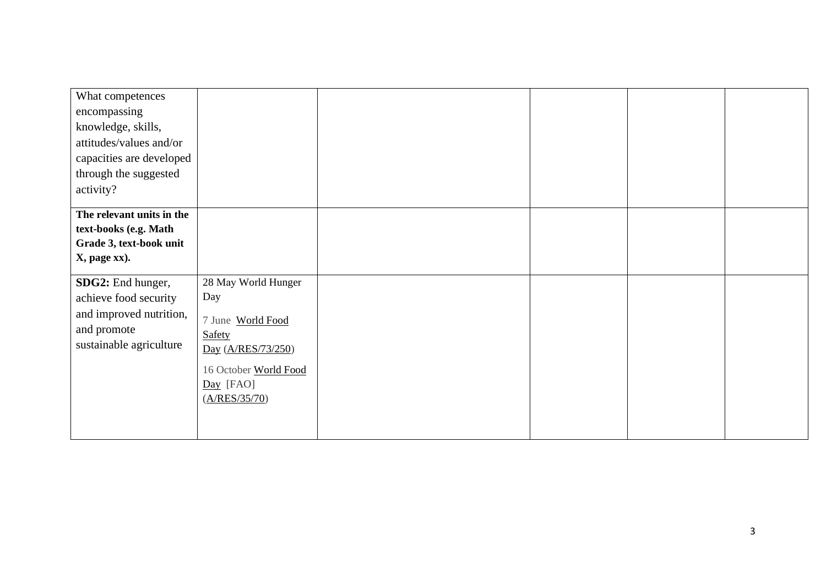| What competences          |                       |  |  |
|---------------------------|-----------------------|--|--|
| encompassing              |                       |  |  |
| knowledge, skills,        |                       |  |  |
| attitudes/values and/or   |                       |  |  |
| capacities are developed  |                       |  |  |
| through the suggested     |                       |  |  |
| activity?                 |                       |  |  |
| The relevant units in the |                       |  |  |
| text-books (e.g. Math     |                       |  |  |
| Grade 3, text-book unit   |                       |  |  |
| X, page xx).              |                       |  |  |
|                           |                       |  |  |
| SDG2: End hunger,         | 28 May World Hunger   |  |  |
| achieve food security     | Day                   |  |  |
| and improved nutrition,   | 7 June World Food     |  |  |
| and promote               | Safety                |  |  |
| sustainable agriculture   | Day (A/RES/73/250)    |  |  |
|                           | 16 October World Food |  |  |
|                           | Day [FAO]             |  |  |
|                           | (A/RES/35/70)         |  |  |
|                           |                       |  |  |
|                           |                       |  |  |
|                           |                       |  |  |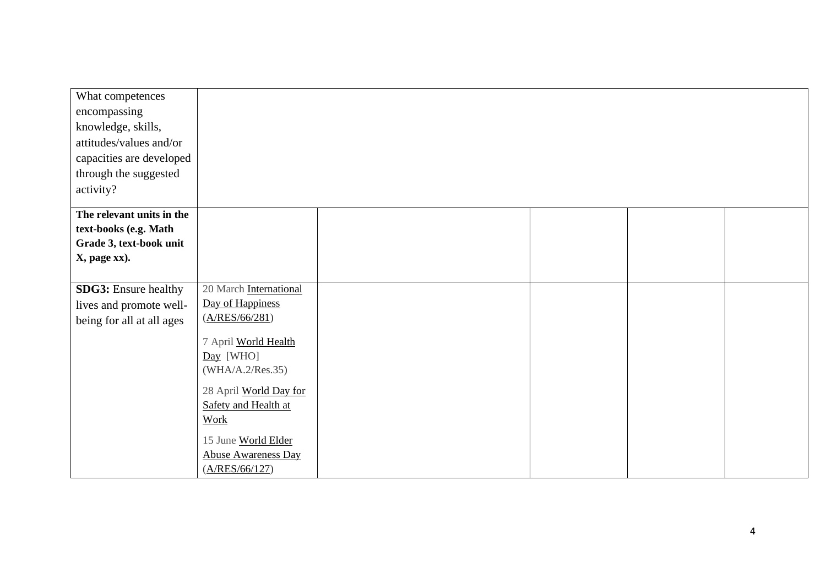| 28 April World Day for     |                                                                                                                                                |  |  |
|----------------------------|------------------------------------------------------------------------------------------------------------------------------------------------|--|--|
| Safety and Health at       |                                                                                                                                                |  |  |
| Work                       |                                                                                                                                                |  |  |
|                            |                                                                                                                                                |  |  |
| <b>Abuse Awareness Day</b> |                                                                                                                                                |  |  |
| (A/RES/66/127)             |                                                                                                                                                |  |  |
|                            | 20 March International<br>Day of Happiness<br>(A/RES/66/281)<br>7 April World Health<br>$Day$ [WHO]<br>(WHA/A.2/Res.35)<br>15 June World Elder |  |  |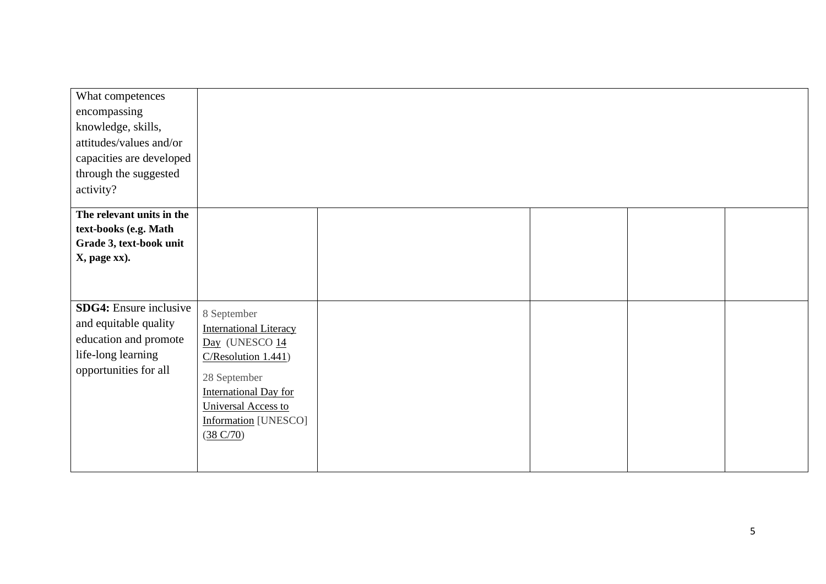| What competences              |                               |  |  |
|-------------------------------|-------------------------------|--|--|
| encompassing                  |                               |  |  |
| knowledge, skills,            |                               |  |  |
| attitudes/values and/or       |                               |  |  |
| capacities are developed      |                               |  |  |
| through the suggested         |                               |  |  |
| activity?                     |                               |  |  |
|                               |                               |  |  |
| The relevant units in the     |                               |  |  |
| text-books (e.g. Math         |                               |  |  |
| Grade 3, text-book unit       |                               |  |  |
| X, page xx).                  |                               |  |  |
|                               |                               |  |  |
|                               |                               |  |  |
| <b>SDG4:</b> Ensure inclusive | 8 September                   |  |  |
| and equitable quality         | <b>International Literacy</b> |  |  |
| education and promote         | Day (UNESCO 14                |  |  |
| life-long learning            | C/Resolution 1.441)           |  |  |
| opportunities for all         |                               |  |  |
|                               | 28 September                  |  |  |
|                               | <b>International Day for</b>  |  |  |
|                               | <b>Universal Access to</b>    |  |  |
|                               | <b>Information</b> [UNESCO]   |  |  |
|                               | (38 C/70)                     |  |  |
|                               |                               |  |  |
|                               |                               |  |  |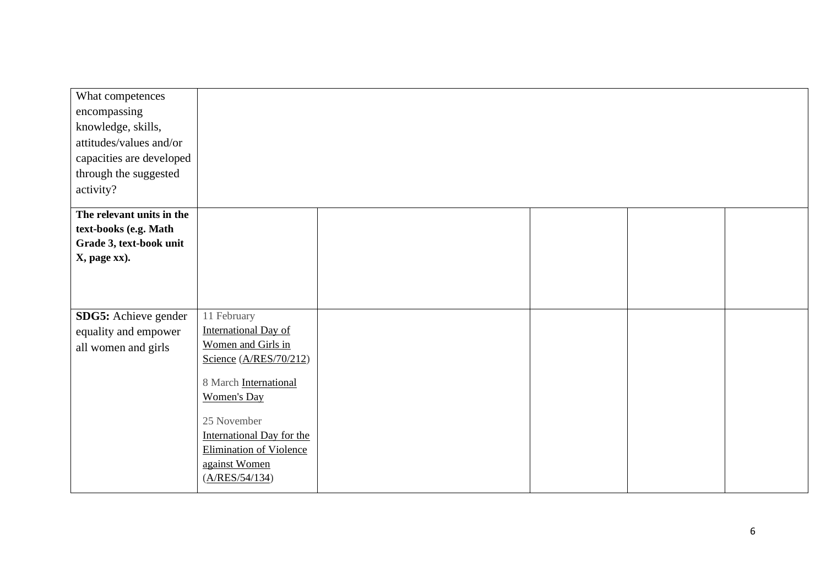| What competences<br>encompassing<br>knowledge, skills,<br>attitudes/values and/or<br>capacities are developed<br>through the suggested |                                                                                                                                                                                                                                                            |  |  |
|----------------------------------------------------------------------------------------------------------------------------------------|------------------------------------------------------------------------------------------------------------------------------------------------------------------------------------------------------------------------------------------------------------|--|--|
| activity?                                                                                                                              |                                                                                                                                                                                                                                                            |  |  |
| The relevant units in the<br>text-books (e.g. Math<br>Grade 3, text-book unit<br>X, page xx).                                          |                                                                                                                                                                                                                                                            |  |  |
| SDG5: Achieve gender<br>equality and empower<br>all women and girls                                                                    | 11 February<br><b>International Day of</b><br>Women and Girls in<br>Science (A/RES/70/212)<br>8 March International<br><b>Women's Day</b><br>25 November<br>International Day for the<br><b>Elimination of Violence</b><br>against Women<br>(A/RES/54/134) |  |  |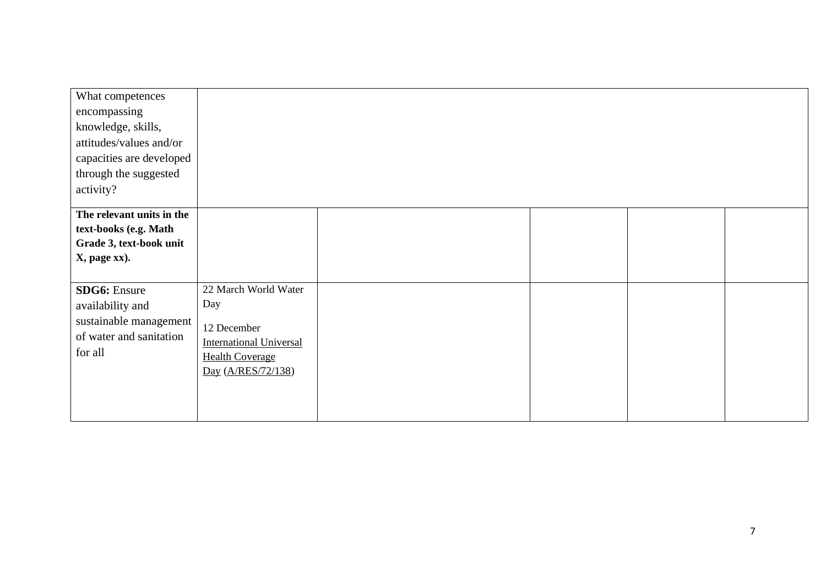| What competences          |                                |  |  |
|---------------------------|--------------------------------|--|--|
| encompassing              |                                |  |  |
| knowledge, skills,        |                                |  |  |
| attitudes/values and/or   |                                |  |  |
| capacities are developed  |                                |  |  |
| through the suggested     |                                |  |  |
| activity?                 |                                |  |  |
| The relevant units in the |                                |  |  |
| text-books (e.g. Math     |                                |  |  |
| Grade 3, text-book unit   |                                |  |  |
| X, page xx).              |                                |  |  |
|                           |                                |  |  |
| <b>SDG6:</b> Ensure       | 22 March World Water           |  |  |
| availability and          | Day                            |  |  |
| sustainable management    | 12 December                    |  |  |
| of water and sanitation   | <b>International Universal</b> |  |  |
| for all                   | <b>Health Coverage</b>         |  |  |
|                           | Day (A/RES/72/138)             |  |  |
|                           |                                |  |  |
|                           |                                |  |  |
|                           |                                |  |  |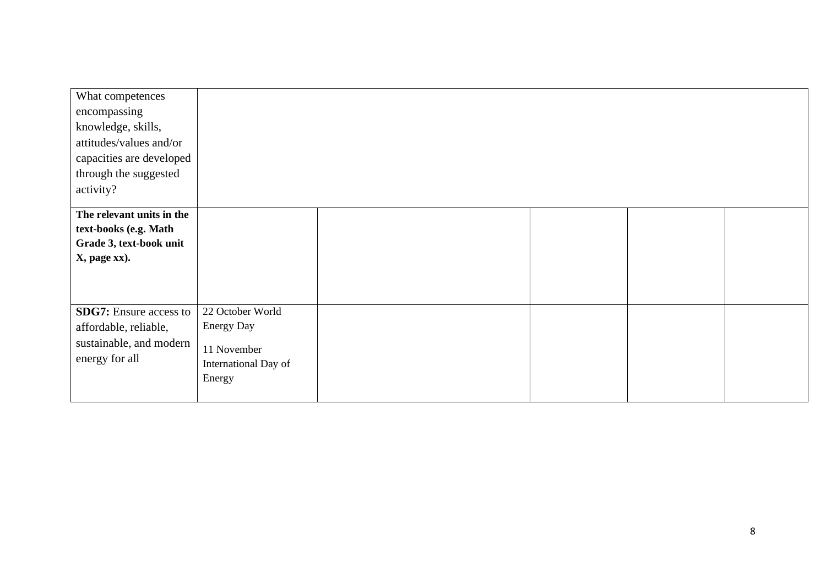| What competences              |                      |  |  |
|-------------------------------|----------------------|--|--|
| encompassing                  |                      |  |  |
| knowledge, skills,            |                      |  |  |
| attitudes/values and/or       |                      |  |  |
| capacities are developed      |                      |  |  |
| through the suggested         |                      |  |  |
| activity?                     |                      |  |  |
|                               |                      |  |  |
| The relevant units in the     |                      |  |  |
| text-books (e.g. Math         |                      |  |  |
| Grade 3, text-book unit       |                      |  |  |
| X, page xx).                  |                      |  |  |
|                               |                      |  |  |
|                               |                      |  |  |
|                               |                      |  |  |
| <b>SDG7:</b> Ensure access to | 22 October World     |  |  |
| affordable, reliable,         | <b>Energy Day</b>    |  |  |
| sustainable, and modern       |                      |  |  |
| energy for all                | 11 November          |  |  |
|                               | International Day of |  |  |
|                               | Energy               |  |  |
|                               |                      |  |  |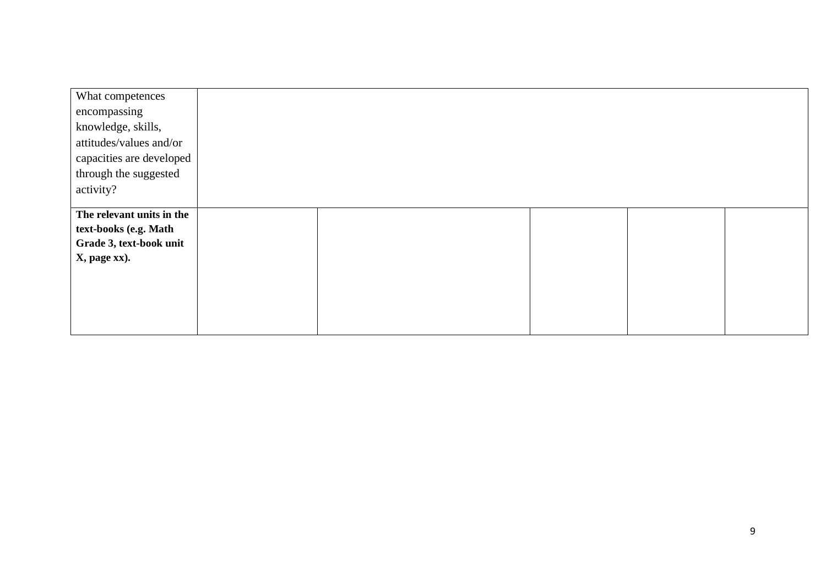| What competences          |  |  |  |
|---------------------------|--|--|--|
| encompassing              |  |  |  |
| knowledge, skills,        |  |  |  |
| attitudes/values and/or   |  |  |  |
| capacities are developed  |  |  |  |
| through the suggested     |  |  |  |
| activity?                 |  |  |  |
|                           |  |  |  |
| The relevant units in the |  |  |  |
| text-books (e.g. Math     |  |  |  |
| Grade 3, text-book unit   |  |  |  |
| X, page xx).              |  |  |  |
|                           |  |  |  |
|                           |  |  |  |
|                           |  |  |  |
|                           |  |  |  |
|                           |  |  |  |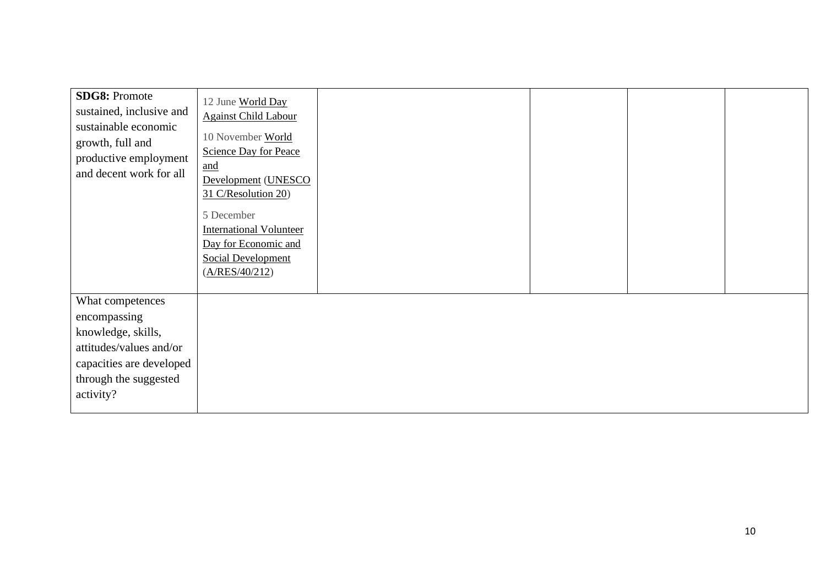| <b>SDG8: Promote</b><br>sustained, inclusive and<br>sustainable economic<br>growth, full and<br>productive employment<br>and decent work for all    | 12 June World Day<br><b>Against Child Labour</b><br>10 November World<br><b>Science Day for Peace</b><br>and<br>Development (UNESCO<br>31 C/Resolution 20)<br>5 December<br><b>International Volunteer</b><br>Day for Economic and<br><b>Social Development</b><br>(A/RES/40/212) |  |  |
|-----------------------------------------------------------------------------------------------------------------------------------------------------|-----------------------------------------------------------------------------------------------------------------------------------------------------------------------------------------------------------------------------------------------------------------------------------|--|--|
| What competences<br>encompassing<br>knowledge, skills,<br>attitudes/values and/or<br>capacities are developed<br>through the suggested<br>activity? |                                                                                                                                                                                                                                                                                   |  |  |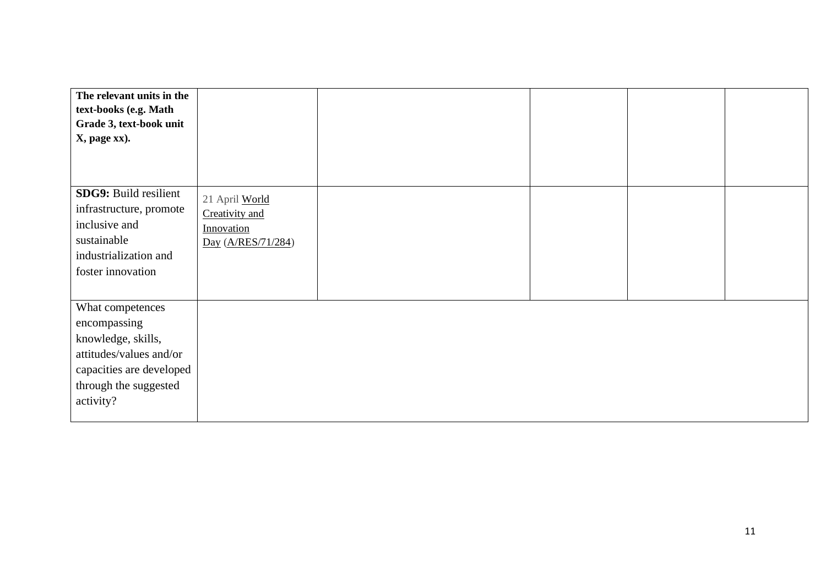| The relevant units in the<br>text-books (e.g. Math<br>Grade 3, text-book unit<br>X, page xx).                                                       |                                                                      |  |  |
|-----------------------------------------------------------------------------------------------------------------------------------------------------|----------------------------------------------------------------------|--|--|
| <b>SDG9: Build resilient</b><br>infrastructure, promote<br>inclusive and<br>sustainable<br>industrialization and<br>foster innovation               | 21 April World<br>Creativity and<br>Innovation<br>Day (A/RES/71/284) |  |  |
| What competences<br>encompassing<br>knowledge, skills,<br>attitudes/values and/or<br>capacities are developed<br>through the suggested<br>activity? |                                                                      |  |  |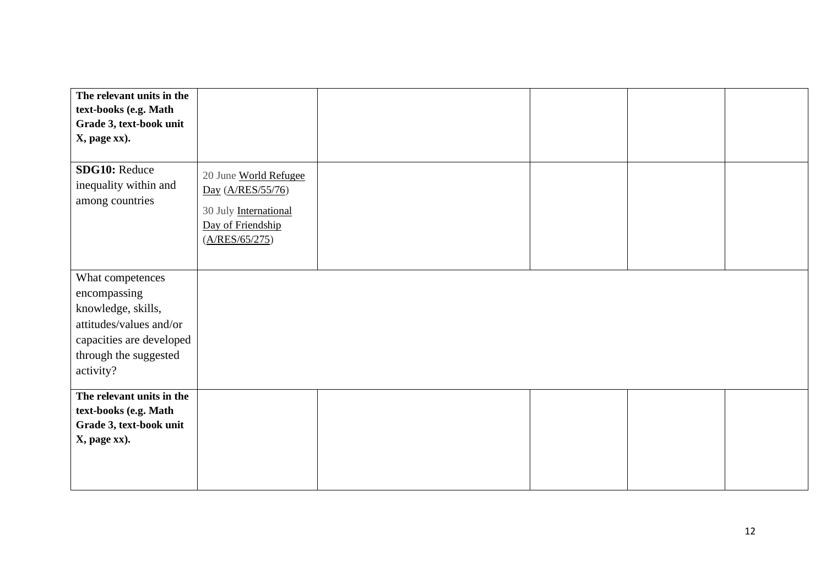| The relevant units in the<br>text-books (e.g. Math<br>Grade 3, text-book unit<br>X, page xx).                                                       |                                                                                                            |  |  |
|-----------------------------------------------------------------------------------------------------------------------------------------------------|------------------------------------------------------------------------------------------------------------|--|--|
| SDG10: Reduce<br>inequality within and<br>among countries                                                                                           | 20 June World Refugee<br>Day (A/RES/55/76)<br>30 July International<br>Day of Friendship<br>(A/RES/65/275) |  |  |
| What competences<br>encompassing<br>knowledge, skills,<br>attitudes/values and/or<br>capacities are developed<br>through the suggested<br>activity? |                                                                                                            |  |  |
| The relevant units in the<br>text-books (e.g. Math<br>Grade 3, text-book unit<br>X, page xx).                                                       |                                                                                                            |  |  |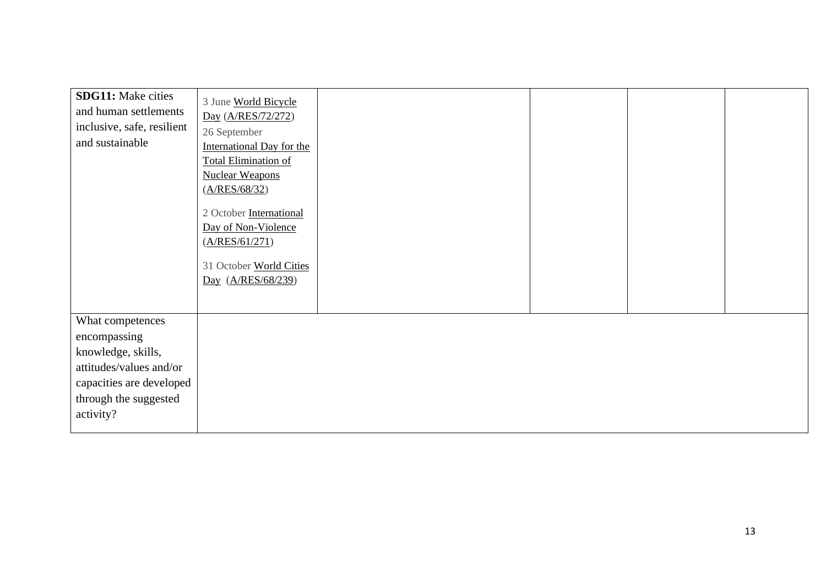| <b>SDG11:</b> Make cities<br>and human settlements<br>inclusive, safe, resilient<br>and sustainable | 3 June World Bicycle<br>Day (A/RES/72/272)<br>26 September<br><b>International Day for the</b><br><b>Total Elimination of</b> |  |  |
|-----------------------------------------------------------------------------------------------------|-------------------------------------------------------------------------------------------------------------------------------|--|--|
|                                                                                                     | <b>Nuclear Weapons</b><br>(A/RES/68/32)                                                                                       |  |  |
|                                                                                                     | 2 October International<br>Day of Non-Violence<br>(A/RES/61/271)<br>31 October World Cities<br>Day (A/RES/68/239)             |  |  |
| What competences<br>encompassing                                                                    |                                                                                                                               |  |  |
| knowledge, skills,                                                                                  |                                                                                                                               |  |  |
| attitudes/values and/or                                                                             |                                                                                                                               |  |  |
| capacities are developed<br>through the suggested<br>activity?                                      |                                                                                                                               |  |  |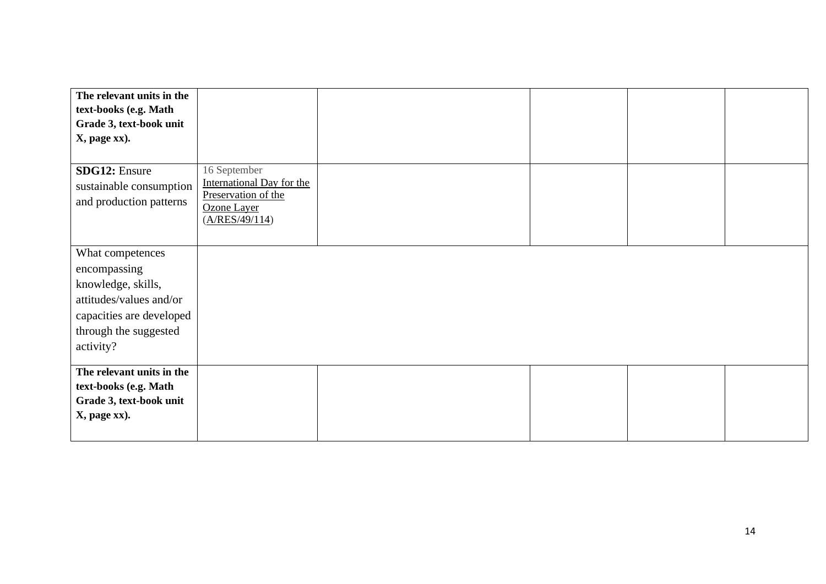| The relevant units in the |                                    |  |  |
|---------------------------|------------------------------------|--|--|
| text-books (e.g. Math     |                                    |  |  |
| Grade 3, text-book unit   |                                    |  |  |
| X, page xx).              |                                    |  |  |
|                           |                                    |  |  |
| <b>SDG12: Ensure</b>      | 16 September                       |  |  |
| sustainable consumption   | <b>International Day for the</b>   |  |  |
| and production patterns   | Preservation of the<br>Ozone Layer |  |  |
|                           | (A/RES/49/114)                     |  |  |
|                           |                                    |  |  |
| What competences          |                                    |  |  |
| encompassing              |                                    |  |  |
| knowledge, skills,        |                                    |  |  |
|                           |                                    |  |  |
| attitudes/values and/or   |                                    |  |  |
| capacities are developed  |                                    |  |  |
| through the suggested     |                                    |  |  |
| activity?                 |                                    |  |  |
| The relevant units in the |                                    |  |  |
| text-books (e.g. Math     |                                    |  |  |
| Grade 3, text-book unit   |                                    |  |  |
| X, page xx).              |                                    |  |  |
|                           |                                    |  |  |
|                           |                                    |  |  |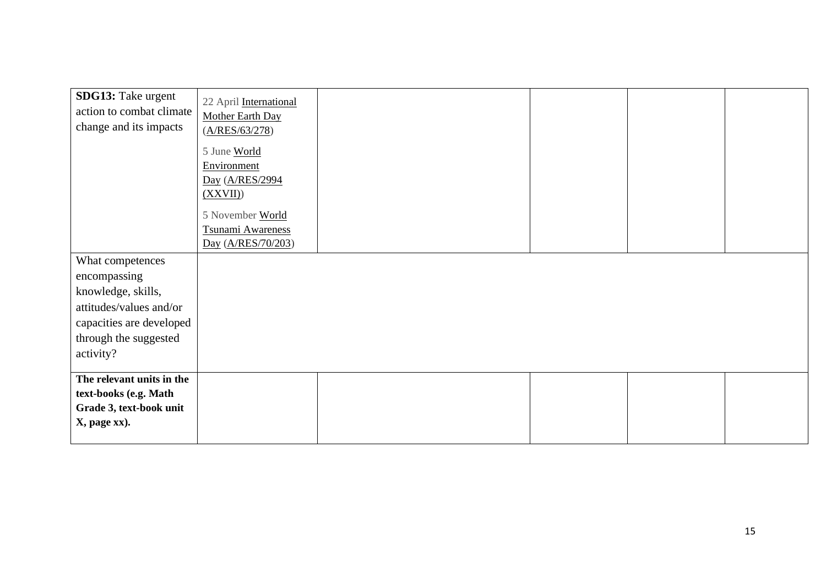| SDG13: Take urgent<br>action to combat climate<br>change and its impacts                                                                            | 22 April International<br>Mother Earth Day<br>(A/RES/63/278)<br>5 June World<br>Environment<br>Day (A/RES/2994<br>(XXVII)<br>5 November World<br>Tsunami Awareness |  |  |
|-----------------------------------------------------------------------------------------------------------------------------------------------------|--------------------------------------------------------------------------------------------------------------------------------------------------------------------|--|--|
|                                                                                                                                                     | Day (A/RES/70/203)                                                                                                                                                 |  |  |
| What competences<br>encompassing<br>knowledge, skills,<br>attitudes/values and/or<br>capacities are developed<br>through the suggested<br>activity? |                                                                                                                                                                    |  |  |
| The relevant units in the<br>text-books (e.g. Math<br>Grade 3, text-book unit<br>X, page xx).                                                       |                                                                                                                                                                    |  |  |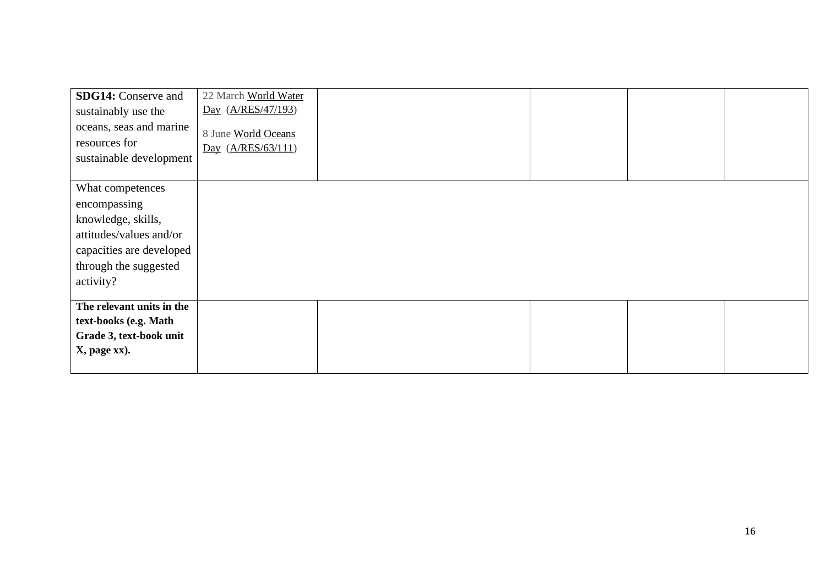| <b>SDG14:</b> Conserve and<br>sustainably use the<br>oceans, seas and marine<br>resources for<br>sustainable development                            | 22 March World Water<br>Day (A/RES/47/193)<br>8 June World Oceans<br>Day (A/RES/63/111) |  |  |
|-----------------------------------------------------------------------------------------------------------------------------------------------------|-----------------------------------------------------------------------------------------|--|--|
| What competences<br>encompassing<br>knowledge, skills,<br>attitudes/values and/or<br>capacities are developed<br>through the suggested<br>activity? |                                                                                         |  |  |
| The relevant units in the<br>text-books (e.g. Math<br>Grade 3, text-book unit<br>X, page xx).                                                       |                                                                                         |  |  |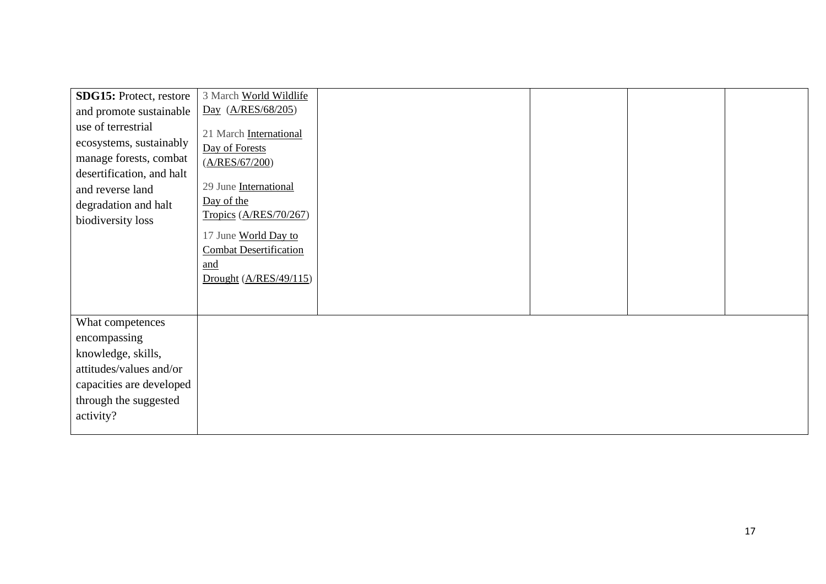| SDG15: Protect, restore   | 3 March World Wildlife        |  |  |
|---------------------------|-------------------------------|--|--|
| and promote sustainable   | Day (A/RES/68/205)            |  |  |
| use of terrestrial        | 21 March International        |  |  |
| ecosystems, sustainably   | Day of Forests                |  |  |
| manage forests, combat    | (A/RES/67/200)                |  |  |
| desertification, and halt |                               |  |  |
| and reverse land          | 29 June International         |  |  |
| degradation and halt      | Day of the                    |  |  |
| biodiversity loss         | Tropics (A/RES/70/267)        |  |  |
|                           | 17 June World Day to          |  |  |
|                           | <b>Combat Desertification</b> |  |  |
|                           | and                           |  |  |
|                           | Drought $(A/RES/49/115)$      |  |  |
|                           |                               |  |  |
| What competences          |                               |  |  |
| encompassing              |                               |  |  |
| knowledge, skills,        |                               |  |  |
| attitudes/values and/or   |                               |  |  |
| capacities are developed  |                               |  |  |
| through the suggested     |                               |  |  |
| activity?                 |                               |  |  |
|                           |                               |  |  |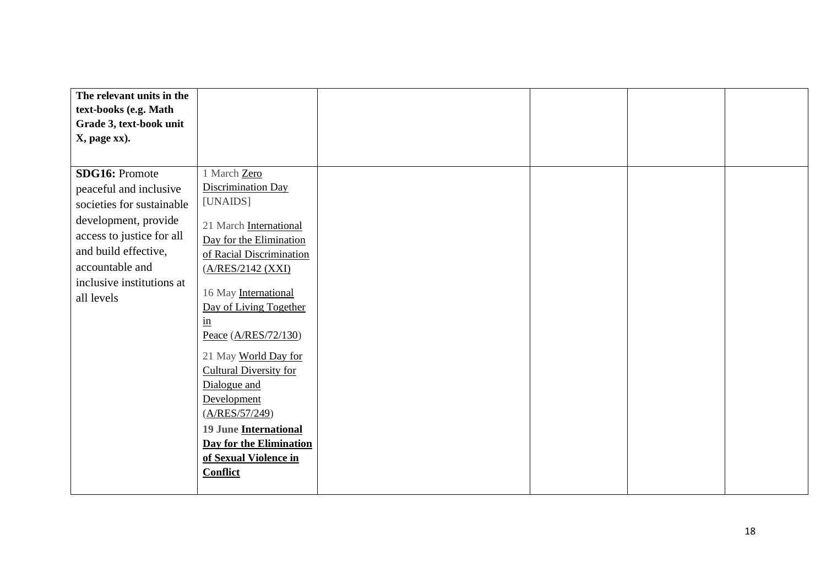| The relevant units in the                                                                                                                                                                                               |                                                                                                                                                                                                                                                                                                                                                             |  |  |
|-------------------------------------------------------------------------------------------------------------------------------------------------------------------------------------------------------------------------|-------------------------------------------------------------------------------------------------------------------------------------------------------------------------------------------------------------------------------------------------------------------------------------------------------------------------------------------------------------|--|--|
| text-books (e.g. Math                                                                                                                                                                                                   |                                                                                                                                                                                                                                                                                                                                                             |  |  |
| Grade 3, text-book unit                                                                                                                                                                                                 |                                                                                                                                                                                                                                                                                                                                                             |  |  |
| X, page xx).                                                                                                                                                                                                            |                                                                                                                                                                                                                                                                                                                                                             |  |  |
|                                                                                                                                                                                                                         |                                                                                                                                                                                                                                                                                                                                                             |  |  |
| <b>SDG16: Promote</b><br>peaceful and inclusive<br>societies for sustainable<br>development, provide<br>access to justice for all<br>and build effective,<br>accountable and<br>inclusive institutions at<br>all levels | 1 March Zero<br>Discrimination Day<br>[UNAIDS]<br>21 March International<br>Day for the Elimination<br>of Racial Discrimination<br>(A/RES/2142 (XXI)<br>16 May International<br>Day of Living Together<br>$\frac{\text{in}}{\ }$<br>Peace (A/RES/72/130)<br>21 May World Day for<br>Cultural Diversity for<br>Dialogue and<br>Development<br>(A/RES/57/249) |  |  |
|                                                                                                                                                                                                                         | <b>19 June International</b>                                                                                                                                                                                                                                                                                                                                |  |  |
|                                                                                                                                                                                                                         | <b>Day for the Elimination</b>                                                                                                                                                                                                                                                                                                                              |  |  |
|                                                                                                                                                                                                                         | of Sexual Violence in                                                                                                                                                                                                                                                                                                                                       |  |  |
|                                                                                                                                                                                                                         | <b>Conflict</b>                                                                                                                                                                                                                                                                                                                                             |  |  |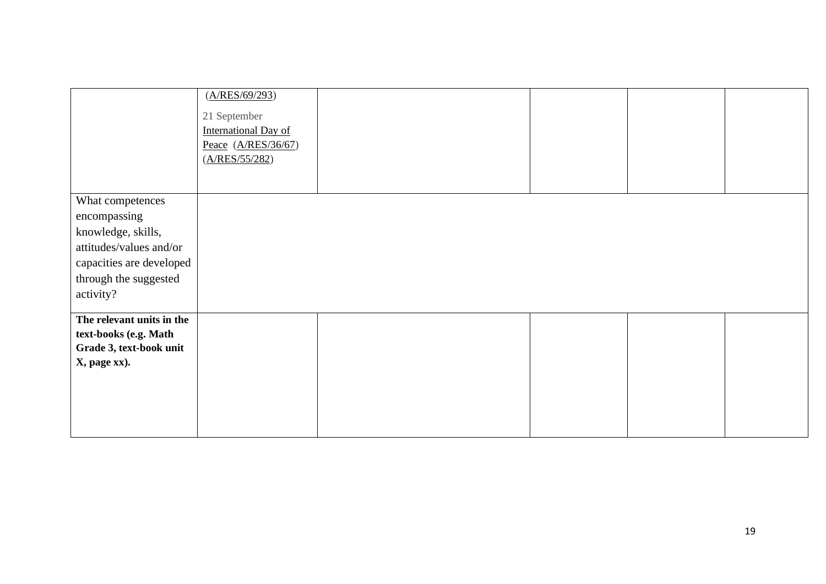|                           | (A/RES/69/293)<br>21 September<br><b>International Day of</b><br>Peace $(A/RES/36/67)$<br>(A/RES/55/282) |  |  |
|---------------------------|----------------------------------------------------------------------------------------------------------|--|--|
| What competences          |                                                                                                          |  |  |
|                           |                                                                                                          |  |  |
| encompassing              |                                                                                                          |  |  |
| knowledge, skills,        |                                                                                                          |  |  |
| attitudes/values and/or   |                                                                                                          |  |  |
| capacities are developed  |                                                                                                          |  |  |
| through the suggested     |                                                                                                          |  |  |
| activity?                 |                                                                                                          |  |  |
|                           |                                                                                                          |  |  |
| The relevant units in the |                                                                                                          |  |  |
| text-books (e.g. Math     |                                                                                                          |  |  |
| Grade 3, text-book unit   |                                                                                                          |  |  |
| X, page xx).              |                                                                                                          |  |  |
|                           |                                                                                                          |  |  |
|                           |                                                                                                          |  |  |
|                           |                                                                                                          |  |  |
|                           |                                                                                                          |  |  |
|                           |                                                                                                          |  |  |
|                           |                                                                                                          |  |  |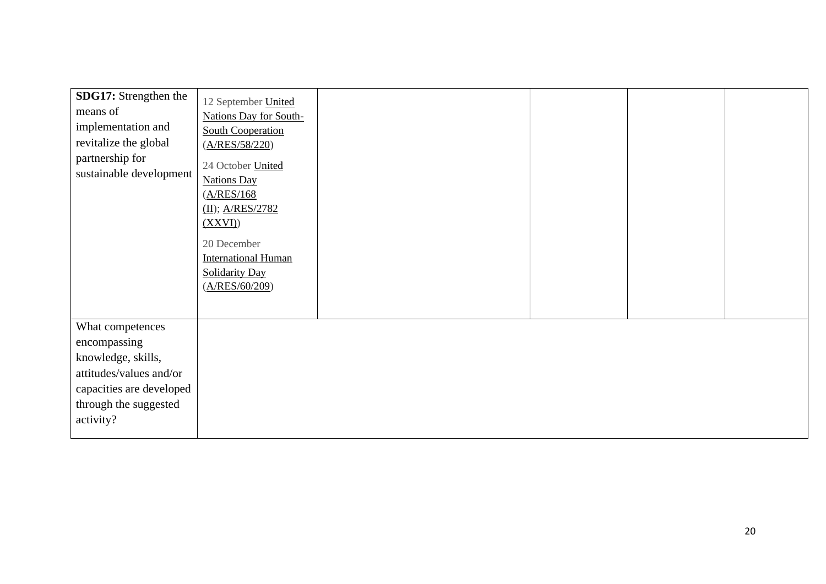| SDG17: Strengthen the<br>means of<br>implementation and<br>revitalize the global<br>partnership for<br>sustainable development                      | 12 September United<br>Nations Day for South-<br><b>South Cooperation</b><br>(A/RES/58/220)<br>24 October United<br><b>Nations Day</b><br>(A/RES/168)<br>$(II)$ ; A/RES/2782<br>(XXVI)<br>20 December<br><b>International Human</b><br><b>Solidarity Day</b><br>(A/RES/60/209) |
|-----------------------------------------------------------------------------------------------------------------------------------------------------|--------------------------------------------------------------------------------------------------------------------------------------------------------------------------------------------------------------------------------------------------------------------------------|
| What competences<br>encompassing<br>knowledge, skills,<br>attitudes/values and/or<br>capacities are developed<br>through the suggested<br>activity? |                                                                                                                                                                                                                                                                                |